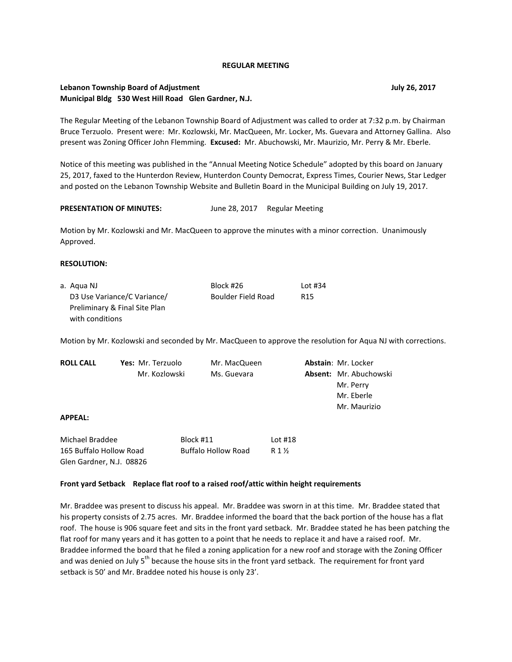#### **REGULAR MEETING**

## **Lebanon Township Board of Adjustment July 26, 2017 Municipal Bldg 530 West Hill Road Glen Gardner, N.J.**

The Regular Meeting of the Lebanon Township Board of Adjustment was called to order at 7:32 p.m. by Chairman Bruce Terzuolo. Present were: Mr. Kozlowski, Mr. MacQueen, Mr. Locker, Ms. Guevara and Attorney Gallina. Also present was Zoning Officer John Flemming. **Excused:** Mr. Abuchowski, Mr. Maurizio, Mr. Perry & Mr. Eberle.

Notice of this meeting was published in the "Annual Meeting Notice Schedule" adopted by this board on January 25, 2017, faxed to the Hunterdon Review, Hunterdon County Democrat, Express Times, Courier News, Star Ledger and posted on the Lebanon Township Website and Bulletin Board in the Municipal Building on July 19, 2017.

### PRESENTATION OF MINUTES: June 28, 2017 Regular Meeting

Motion by Mr. Kozlowski and Mr. MacQueen to approve the minutes with a minor correction. Unanimously Approved.

### **RESOLUTION:**

Glen Gardner, N.J. 08826

| a. Agua NJ                    | Block #26          | Lot #34         |
|-------------------------------|--------------------|-----------------|
| D3 Use Variance/C Variance/   | Boulder Field Road | R <sub>15</sub> |
| Preliminary & Final Site Plan |                    |                 |
| with conditions               |                    |                 |

Motion by Mr. Kozlowski and seconded by Mr. MacQueen to approve the resolution for Aqua NJ with corrections.

| <b>ROLL CALL</b>        | Yes: Mr. Terzuolo |           | Mr. MacQueen               |                  | <b>Abstain: Mr. Locker</b>    |  |
|-------------------------|-------------------|-----------|----------------------------|------------------|-------------------------------|--|
|                         | Mr. Kozlowski     |           | Ms. Guevara                |                  | <b>Absent:</b> Mr. Abuchowski |  |
|                         |                   |           |                            |                  | Mr. Perry                     |  |
|                         |                   |           |                            |                  | Mr. Eberle                    |  |
|                         |                   |           |                            |                  | Mr. Maurizio                  |  |
| <b>APPEAL:</b>          |                   |           |                            |                  |                               |  |
| Michael Braddee         |                   | Block #11 |                            | Lot $#18$        |                               |  |
| 165 Buffalo Hollow Road |                   |           | <b>Buffalo Hollow Road</b> | R $1\frac{1}{2}$ |                               |  |

#### **Front yard Setback Replace flat roof to a raised roof/attic within height requirements**

Mr. Braddee was present to discuss his appeal. Mr. Braddee was sworn in at this time. Mr. Braddee stated that his property consists of 2.75 acres. Mr. Braddee informed the board that the back portion of the house has a flat roof. The house is 906 square feet and sits in the front yard setback. Mr. Braddee stated he has been patching the flat roof for many years and it has gotten to a point that he needs to replace it and have a raised roof. Mr. Braddee informed the board that he filed a zoning application for a new roof and storage with the Zoning Officer and was denied on July  $5<sup>th</sup>$  because the house sits in the front yard setback. The requirement for front yard setback is 50' and Mr. Braddee noted his house is only 23'.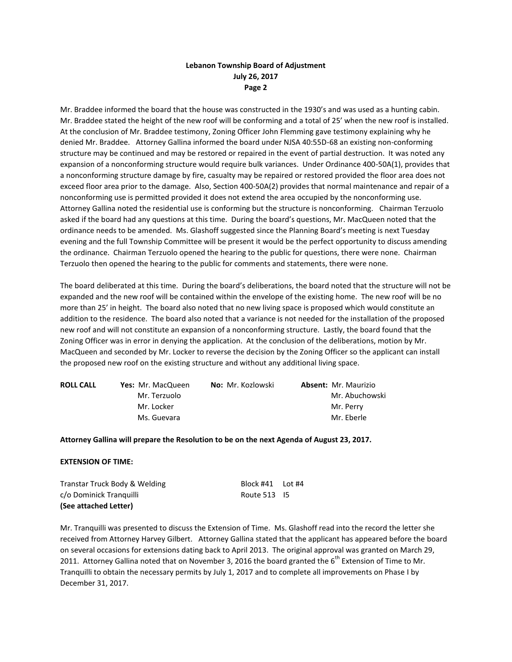Mr. Braddee informed the board that the house was constructed in the 1930's and was used as a hunting cabin. Mr. Braddee stated the height of the new roof will be conforming and a total of 25' when the new roof is installed. At the conclusion of Mr. Braddee testimony, Zoning Officer John Flemming gave testimony explaining why he denied Mr. Braddee. Attorney Gallina informed the board under NJSA 40:55D-68 an existing non-conforming structure may be continued and may be restored or repaired in the event of partial destruction. It was noted any expansion of a nonconforming structure would require bulk variances. Under Ordinance 400-50A(1), provides that a nonconforming structure damage by fire, casualty may be repaired or restored provided the floor area does not exceed floor area prior to the damage. Also, Section 400-50A(2) provides that normal maintenance and repair of a nonconforming use is permitted provided it does not extend the area occupied by the nonconforming use. Attorney Gallina noted the residential use is conforming but the structure is nonconforming. Chairman Terzuolo asked if the board had any questions at this time. During the board's questions, Mr. MacQueen noted that the ordinance needs to be amended. Ms. Glashoff suggested since the Planning Board's meeting is next Tuesday evening and the full Township Committee will be present it would be the perfect opportunity to discuss amending the ordinance. Chairman Terzuolo opened the hearing to the public for questions, there were none. Chairman Terzuolo then opened the hearing to the public for comments and statements, there were none.

The board deliberated at this time. During the board's deliberations, the board noted that the structure will not be expanded and the new roof will be contained within the envelope of the existing home. The new roof will be no more than 25' in height. The board also noted that no new living space is proposed which would constitute an addition to the residence. The board also noted that a variance is not needed for the installation of the proposed new roof and will not constitute an expansion of a nonconforming structure. Lastly, the board found that the Zoning Officer was in error in denying the application. At the conclusion of the deliberations, motion by Mr. MacQueen and seconded by Mr. Locker to reverse the decision by the Zoning Officer so the applicant can install the proposed new roof on the existing structure and without any additional living space.

| <b>ROLL CALL</b> | <b>Yes: Mr. MacQueen</b> | <b>No:</b> Mr. Kozlowski | <b>Absent: Mr. Maurizio</b> |
|------------------|--------------------------|--------------------------|-----------------------------|
|                  | Mr. Terzuolo             |                          | Mr. Abuchowski              |
|                  | Mr. Locker               |                          | Mr. Perry                   |
|                  | Ms. Guevara              |                          | Mr. Eberle                  |

### **Attorney Gallina will prepare the Resolution to be on the next Agenda of August 23, 2017.**

### **EXTENSION OF TIME:**

| Transtar Truck Body & Welding | Block $#41$ Lot $#4$ |  |
|-------------------------------|----------------------|--|
| c/o Dominick Tranguilli       | Route 513 15         |  |
| (See attached Letter)         |                      |  |

Mr. Tranquilli was presented to discuss the Extension of Time. Ms. Glashoff read into the record the letter she received from Attorney Harvey Gilbert. Attorney Gallina stated that the applicant has appeared before the board on several occasions for extensions dating back to April 2013. The original approval was granted on March 29, 2011. Attorney Gallina noted that on November 3, 2016 the board granted the 6<sup>th</sup> Extension of Time to Mr. Tranquilli to obtain the necessary permits by July 1, 2017 and to complete all improvements on Phase I by December 31, 2017.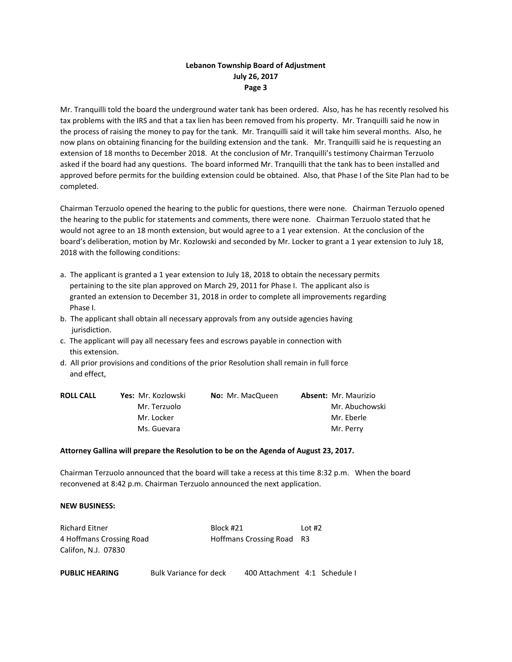Mr. Tranquilli told the board the underground water tank has been ordered. Also, has he has recently resolved his tax problems with the IRS and that a tax lien has been removed from his property. Mr. Tranquilli said he now in the process of raising the money to pay for the tank. Mr. Tranquilli said it will take him several months. Also, he now plans on obtaining financing for the building extension and the tank. Mr. Tranquilli said he is requesting an extension of 18 months to December 2018. At the conclusion of Mr. Tranquilli's testimony Chairman Terzuolo asked if the board had any questions. The board informed Mr. Tranquilli that the tank has to been installed and approved before permits for the building extension could be obtained. Also, that Phase I of the Site Plan had to be completed.

Chairman Terzuolo opened the hearing to the public for questions, there were none. Chairman Terzuolo opened the hearing to the public for statements and comments, there were none. Chairman Terzuolo stated that he would not agree to an 18 month extension, but would agree to a 1 year extension. At the conclusion of the board's deliberation, motion by Mr. Kozlowski and seconded by Mr. Locker to grant a 1 year extension to July 18, 2018 with the following conditions:

- a. The applicant is granted a 1 year extension to July 18, 2018 to obtain the necessary permits pertaining to the site plan approved on March 29, 2011 for Phase I. The applicant also is granted an extension to December 31, 2018 in order to complete all improvements regarding Phase I.
- b. The applicant shall obtain all necessary approvals from any outside agencies having jurisdiction.
- c. The applicant will pay all necessary fees and escrows payable in connection with this extension.
- d. All prior provisions and conditions of the prior Resolution shall remain in full force and effect,

| <b>ROLL CALL</b> | Yes: Mr. Kozlowski | <b>No:</b> Mr. MacQueen | <b>Absent: Mr. Maurizio</b> |
|------------------|--------------------|-------------------------|-----------------------------|
|                  | Mr. Terzuolo       |                         | Mr. Abuchowski              |
|                  | Mr. Locker         |                         | Mr. Eberle                  |
|                  | Ms. Guevara        |                         | Mr. Perry                   |

### **Attorney Gallina will prepare the Resolution to be on the Agenda of August 23, 2017.**

Chairman Terzuolo announced that the board will take a recess at this time 8:32 p.m. When the board reconvened at 8:42 p.m. Chairman Terzuolo announced the next application.

### **NEW BUSINESS:**

| <b>Richard Eitner</b>    | Block #21                 | Lot $#2$ |
|--------------------------|---------------------------|----------|
| 4 Hoffmans Crossing Road | Hoffmans Crossing Road R3 |          |
| Califon, N.J. 07830      |                           |          |

| <b>PUBLIC HEARING</b> | <b>Bulk Variance for deck</b> | 400 Attachment 4:1 Schedule I |  |
|-----------------------|-------------------------------|-------------------------------|--|
|                       |                               |                               |  |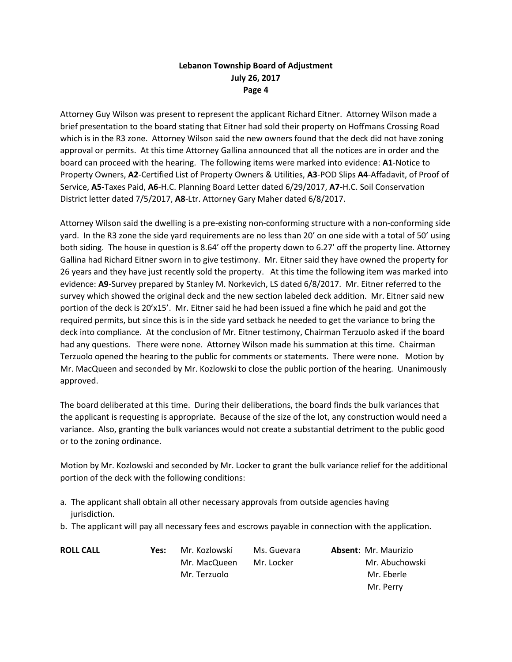Attorney Guy Wilson was present to represent the applicant Richard Eitner. Attorney Wilson made a brief presentation to the board stating that Eitner had sold their property on Hoffmans Crossing Road which is in the R3 zone. Attorney Wilson said the new owners found that the deck did not have zoning approval or permits. At this time Attorney Gallina announced that all the notices are in order and the board can proceed with the hearing. The following items were marked into evidence: **A1**-Notice to Property Owners, **A2**-Certified List of Property Owners & Utilities, **A3**-POD Slips **A4**-Affadavit, of Proof of Service, **A5-**Taxes Paid, **A6**-H.C. Planning Board Letter dated 6/29/2017, **A7-**H.C. Soil Conservation District letter dated 7/5/2017, **A8**-Ltr. Attorney Gary Maher dated 6/8/2017.

Attorney Wilson said the dwelling is a pre-existing non-conforming structure with a non-conforming side yard. In the R3 zone the side yard requirements are no less than 20' on one side with a total of 50' using both siding. The house in question is 8.64' off the property down to 6.27' off the property line. Attorney Gallina had Richard Eitner sworn in to give testimony. Mr. Eitner said they have owned the property for 26 years and they have just recently sold the property. At this time the following item was marked into evidence: **A9**-Survey prepared by Stanley M. Norkevich, LS dated 6/8/2017. Mr. Eitner referred to the survey which showed the original deck and the new section labeled deck addition. Mr. Eitner said new portion of the deck is 20'x15'. Mr. Eitner said he had been issued a fine which he paid and got the required permits, but since this is in the side yard setback he needed to get the variance to bring the deck into compliance. At the conclusion of Mr. Eitner testimony, Chairman Terzuolo asked if the board had any questions. There were none. Attorney Wilson made his summation at this time. Chairman Terzuolo opened the hearing to the public for comments or statements. There were none. Motion by Mr. MacQueen and seconded by Mr. Kozlowski to close the public portion of the hearing. Unanimously approved.

The board deliberated at this time. During their deliberations, the board finds the bulk variances that the applicant is requesting is appropriate. Because of the size of the lot, any construction would need a variance. Also, granting the bulk variances would not create a substantial detriment to the public good or to the zoning ordinance.

Motion by Mr. Kozlowski and seconded by Mr. Locker to grant the bulk variance relief for the additional portion of the deck with the following conditions:

- a. The applicant shall obtain all other necessary approvals from outside agencies having jurisdiction.
- b. The applicant will pay all necessary fees and escrows payable in connection with the application.

| <b>ROLL CALL</b> | Yes: | Mr. Kozlowski | Ms. Guevara | <b>Absent: Mr. Maurizio</b> |
|------------------|------|---------------|-------------|-----------------------------|
|                  |      | Mr. MacQueen  | Mr. Locker  | Mr. Abuchowski              |
|                  |      | Mr. Terzuolo  |             | Mr. Eberle                  |
|                  |      |               |             | Mr. Perry                   |